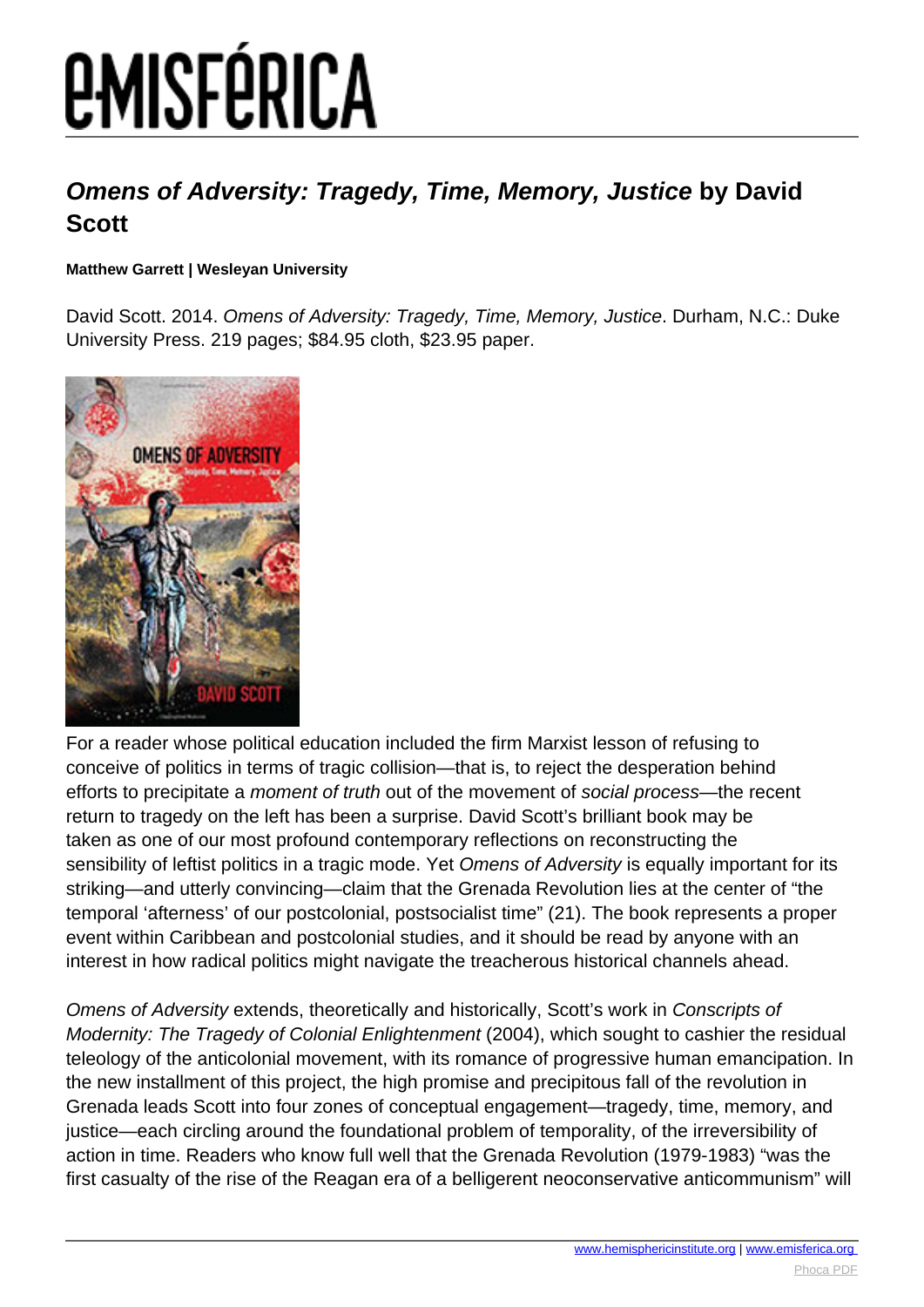# **EMISFÉRICA**

### **Omens of Adversity: Tragedy, Time, Memory, Justice by David Scott**

#### **Matthew Garrett | Wesleyan University**

David Scott. 2014. Omens of Adversity: Tragedy, Time, Memory, Justice. Durham, N.C.: Duke University Press. 219 pages; \$84.95 cloth, \$23.95 paper.



For a reader whose political education included the firm Marxist lesson of refusing to conceive of politics in terms of tragic collision—that is, to reject the desperation behind efforts to precipitate a moment of truth out of the movement of social process—the recent return to tragedy on the left has been a surprise. David Scott's brilliant book may be taken as one of our most profound contemporary reflections on reconstructing the sensibility of leftist politics in a tragic mode. Yet Omens of Adversity is equally important for its striking—and utterly convincing—claim that the Grenada Revolution lies at the center of "the temporal 'afterness' of our postcolonial, postsocialist time" (21). The book represents a proper event within Caribbean and postcolonial studies, and it should be read by anyone with an interest in how radical politics might navigate the treacherous historical channels ahead.

Omens of Adversity extends, theoretically and historically, Scott's work in Conscripts of Modernity: The Tragedy of Colonial Enlightenment (2004), which sought to cashier the residual teleology of the anticolonial movement, with its romance of progressive human emancipation. In the new installment of this project, the high promise and precipitous fall of the revolution in Grenada leads Scott into four zones of conceptual engagement—tragedy, time, memory, and justice—each circling around the foundational problem of temporality, of the irreversibility of action in time. Readers who know full well that the Grenada Revolution (1979-1983) "was the first casualty of the rise of the Reagan era of a belligerent neoconservative anticommunism" will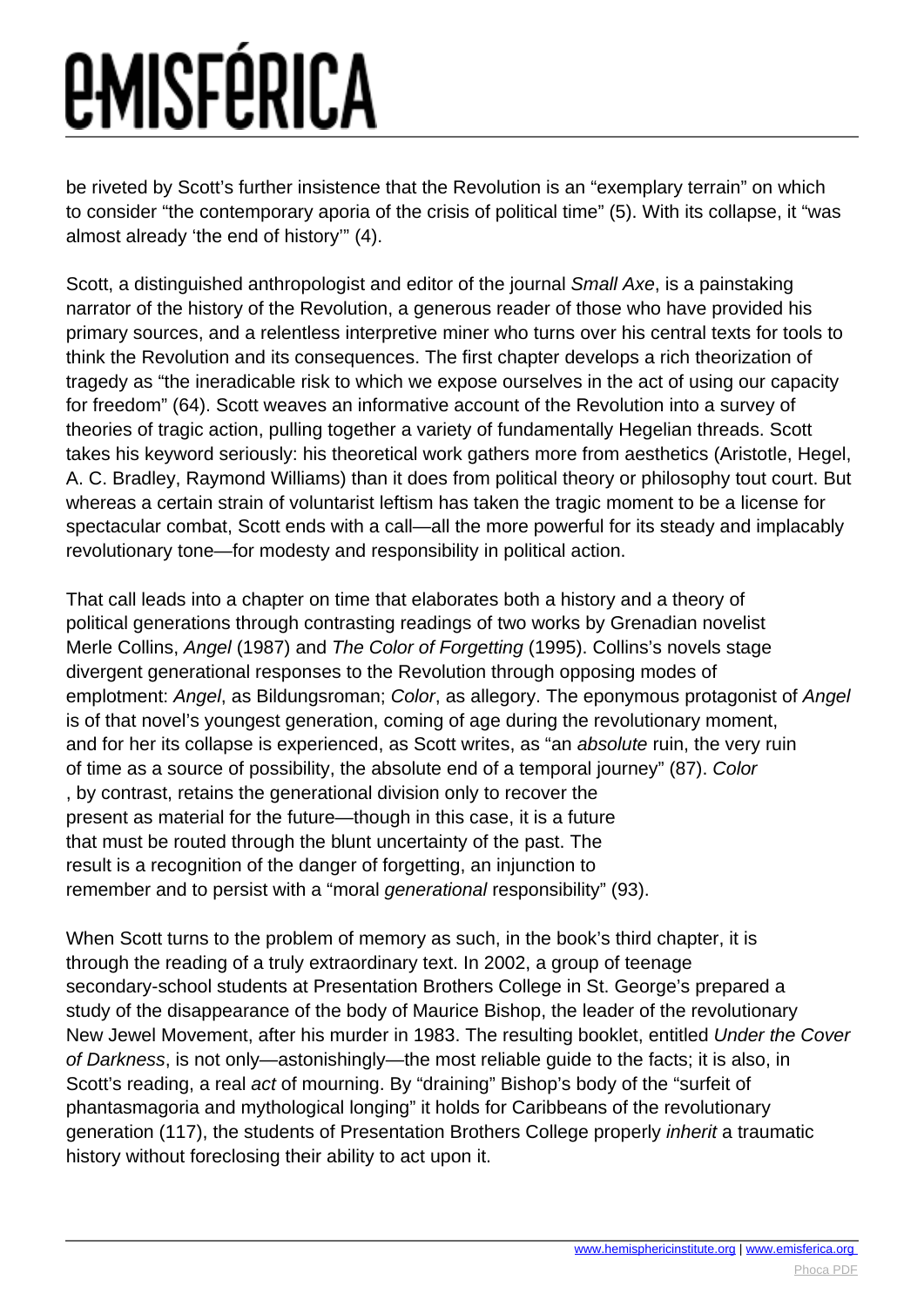### *<u>EMISFÉRICA</u>*

be riveted by Scott's further insistence that the Revolution is an "exemplary terrain" on which to consider "the contemporary aporia of the crisis of political time" (5). With its collapse, it "was almost already 'the end of history'" (4).

Scott, a distinguished anthropologist and editor of the journal Small Axe, is a painstaking narrator of the history of the Revolution, a generous reader of those who have provided his primary sources, and a relentless interpretive miner who turns over his central texts for tools to think the Revolution and its consequences. The first chapter develops a rich theorization of tragedy as "the ineradicable risk to which we expose ourselves in the act of using our capacity for freedom" (64). Scott weaves an informative account of the Revolution into a survey of theories of tragic action, pulling together a variety of fundamentally Hegelian threads. Scott takes his keyword seriously: his theoretical work gathers more from aesthetics (Aristotle, Hegel, A. C. Bradley, Raymond Williams) than it does from political theory or philosophy tout court. But whereas a certain strain of voluntarist leftism has taken the tragic moment to be a license for spectacular combat, Scott ends with a call—all the more powerful for its steady and implacably revolutionary tone—for modesty and responsibility in political action.

That call leads into a chapter on time that elaborates both a history and a theory of political generations through contrasting readings of two works by Grenadian novelist Merle Collins, Angel (1987) and The Color of Forgetting (1995). Collins's novels stage divergent generational responses to the Revolution through opposing modes of emplotment: Angel, as Bildungsroman; Color, as allegory. The eponymous protagonist of Angel is of that novel's youngest generation, coming of age during the revolutionary moment, and for her its collapse is experienced, as Scott writes, as "an absolute ruin, the very ruin of time as a source of possibility, the absolute end of a temporal journey" (87). Color , by contrast, retains the generational division only to recover the present as material for the future—though in this case, it is a future that must be routed through the blunt uncertainty of the past. The result is a recognition of the danger of forgetting, an injunction to remember and to persist with a "moral generational responsibility" (93).

When Scott turns to the problem of memory as such, in the book's third chapter, it is through the reading of a truly extraordinary text. In 2002, a group of teenage secondary-school students at Presentation Brothers College in St. George's prepared a study of the disappearance of the body of Maurice Bishop, the leader of the revolutionary New Jewel Movement, after his murder in 1983. The resulting booklet, entitled Under the Cover of Darkness, is not only—astonishingly—the most reliable guide to the facts; it is also, in Scott's reading, a real act of mourning. By "draining" Bishop's body of the "surfeit of phantasmagoria and mythological longing" it holds for Caribbeans of the revolutionary generation (117), the students of Presentation Brothers College properly inherit a traumatic history without foreclosing their ability to act upon it.